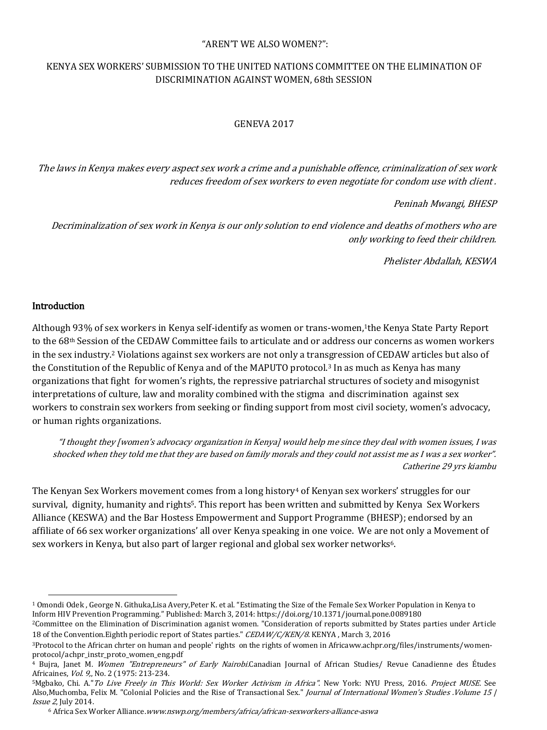### "AREN'T WE ALSO WOMEN?":

# KENYA SEX WORKERS' SUBMISSION TO THE UNITED NATIONS COMMITTEE ON THE ELIMINATION OF DISCRIMINATION AGAINST WOMEN, 68th SESSION

## GENEVA 2017

The laws in Kenya makes every aspect sex work a crime and a punishable offence, criminalization of sex work reduces freedom of sex workers to even negotiate for condom use with client .

Peninah Mwangi, BHESP

Decriminalization of sex work in Kenya is our only solution to end violence and deaths of mothers who are only working to feed their children.

Phelister Abdallah, KESWA

### Introduction

 $\overline{\phantom{a}}$ 

Although 93% of sex workers in Kenya self-identify as women or trans-women,1the Kenya State Party Report to the 68th Session of the CEDAW Committee fails to articulate and or address our concerns as women workers in the sex industry.<sup>2</sup> Violations against sex workers are not only a transgression of CEDAW articles but also of the Constitution of the Republic of Kenya and of the MAPUTO protocol.<sup>3</sup> In as much as Kenya has many organizations that fight for women's rights, the repressive patriarchal structures of society and misogynist interpretations of culture, law and morality combined with the stigma and discrimination against sex workers to constrain sex workers from seeking or finding support from most civil society, women's advocacy, or human rights organizations.

"I thought they [women's advocacy organization in Kenya] would help me since they deal with women issues, I was shocked when they told me that they are based on family morals and they could not assist me as I was a sex worker". Catherine 29 yrs kiambu

The Kenyan Sex Workers movement comes from a long history<sup>4</sup> of Kenyan sex workers' struggles for our survival, dignity, humanity and rights5. This report has been written and submitted by Kenya Sex Workers Alliance (KESWA) and the Bar Hostess Empowerment and Support Programme (BHESP); endorsed by an affiliate of 66 sex worker organizations' all over Kenya speaking in one voice. We are not only a Movement of sex workers in Kenya, but also part of larger regional and global sex worker networks6.

<sup>1</sup> Omondi Odek , George N. Githuka,Lisa Avery,Peter K. et al. "Estimating the Size of the Female Sex Worker Population in Kenya to Inform HIV Prevention Programming." Published: March 3, 2014[: https://doi.org/10.1371/journal.pone.0089180](https://doi.org/10.1371/journal.pone.0089180)

<sup>2</sup>Committee on the Elimination of Discrimination aganist women. "Consideration of reports submitted by States parties under Article 18 of the Convention. Eighth periodic report of States parties." CEDAW/C/KEN/8. KENYA, March 3, 2016

<sup>3</sup>Protocol to the African chrter on human and people' rights on the rights of women in Africaww.achpr.org/files/instruments/womenprotocol/achpr\_instr\_proto\_women\_eng.pdf

<sup>4</sup> Bujra, Janet M. Women "Entrepreneurs" of Early Nairobi.Canadian Journal of African Studies/ Revue Canadienne des Études Africaines, Vol. 9,, No. 2 (1975: 213-234.

<sup>5</sup>Mgbako, Chi. A." To Live Freely in This World: Sex Worker Activism in Africa". New York: NYU Press, 2016. Project MUSE. See Also,Muchomba, Felix M. "Colonial Policies and the Rise of Transactional Sex." *Journal of International Women's Studies .Volume 15* | Issue 2, July 2014.

<sup>6</sup> Africa Sex Worker Alliance.www.nswp.org/members/africa/african-sexworkers-alliance-aswa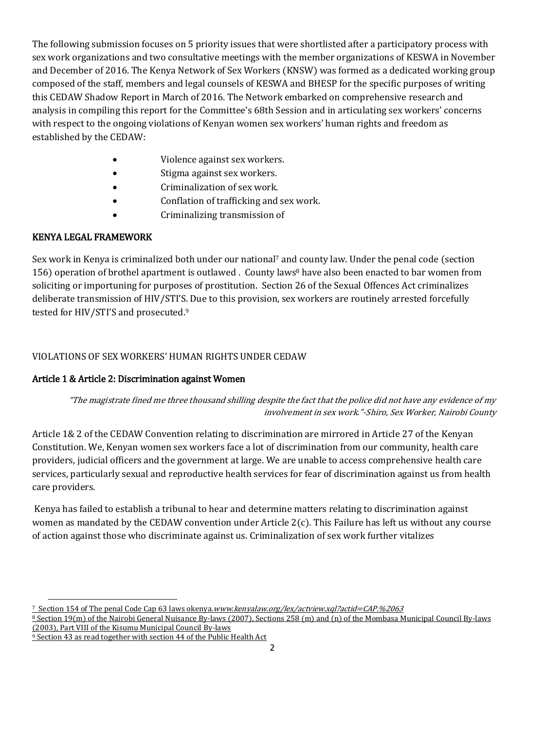The following submission focuses on 5 priority issues that were shortlisted after a participatory process with sex work organizations and two consultative meetings with the member organizations of KESWA in November and December of 2016. The Kenya Network of Sex Workers (KNSW) was formed as a dedicated working group composed of the staff, members and legal counsels of KESWA and BHESP for the specific purposes of writing this CEDAW Shadow Report in March of 2016. The Network embarked on comprehensive research and analysis in compiling this report for the Committee's 68th Session and in articulating sex workers' concerns with respect to the ongoing violations of Kenyan women sex workers' human rights and freedom as established by the CEDAW:

- Violence against sex workers.
- Stigma against sex workers.
- Criminalization of sex work.
- Conflation of trafficking and sex work.
- Criminalizing transmission of

## KENYA LEGAL FRAMEWORK

Sex work in Kenya is criminalized both under our national<sup>7</sup> and county law. Under the penal code (section 156) operation of brothel apartment is outlawed . County laws<sup>8</sup> have also been enacted to bar women from soliciting or importuning for purposes of prostitution. Section 26 of the Sexual Offences Act criminalizes deliberate transmission of HIV/STI'S. Due to this provision, sex workers are routinely arrested forcefully tested for HIV/STI'S and prosecuted.<sup>9</sup>

## VIOLATIONS OF SEX WORKERS' HUMAN RIGHTS UNDER CEDAW

## Article 1 & Article 2: Discrimination against Women

## "The magistrate fined me three thousand shilling despite the fact that the police did not have any evidence of my involvement in sex work."-Shiro, Sex Worker, Nairobi County

Article 1& 2 of the CEDAW Convention relating to discrimination are mirrored in Article 27 of the Kenyan Constitution. We, Kenyan women sex workers face a lot of discrimination from our community, health care providers, judicial officers and the government at large. We are unable to access comprehensive health care services, particularly sexual and reproductive health services for fear of discrimination against us from health care providers.

Kenya has failed to establish a tribunal to hear and determine matters relating to discrimination against women as mandated by the CEDAW convention under Article 2(c). This Failure has left us without any course of action against those who discriminate against us. Criminalization of sex work further vitalizes

 $\overline{a}$ <sup>7</sup> Section 154 of The penal Code Cap 63 laws okenya.www.kenyalaw.org/lex/actview.xql?actid=CAP.%2063

<sup>8</sup> Section 19(m) of the Nairobi General Nuisance By-laws (2007), Sections 258 (m) and (n) of the Mombasa Municipal Council By-laws (2003), Part VIII of the Kisumu Municipal Council By-laws

<sup>9</sup> Section 43 as read together with section 44 of the Public Health Act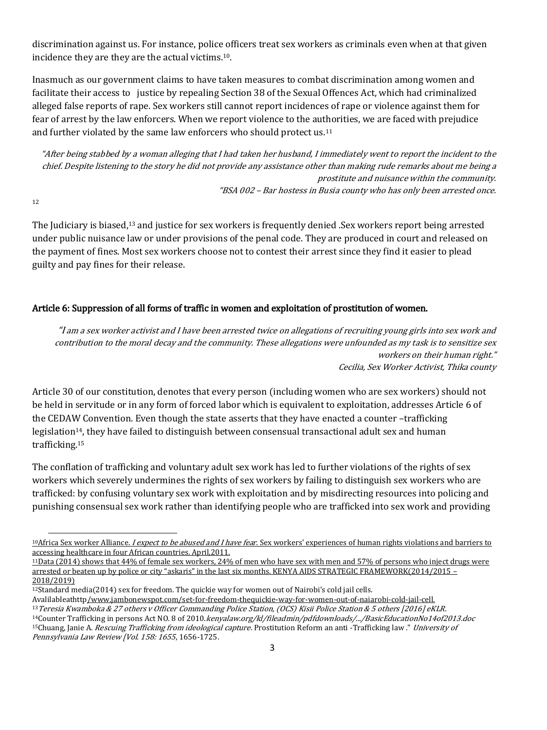discrimination against us. For instance, police officers treat sex workers as criminals even when at that given incidence they are they are the actual victims.10.

Inasmuch as our government claims to have taken measures to combat discrimination among women and facilitate their access to justice by repealing Section 38 of the Sexual Offences Act, which had criminalized alleged false reports of rape. Sex workers still cannot report incidences of rape or violence against them for fear of arrest by the law enforcers. When we report violence to the authorities, we are faced with prejudice and further violated by the same law enforcers who should protect us.<sup>11</sup>

"After being stabbed by a woman alleging that I had taken her husband, I immediately went to report the incident to the chief. Despite listening to the story he did not provide any assistance other than making rude remarks about me being a prostitute and nuisance within the community. "BSA 002 – Bar hostess in Busia county who has only been arrested once.

12

 $\overline{a}$ 

The Judiciary is biased,<sup>13</sup> and justice for sex workers is frequently denied .Sex workers report being arrested under public nuisance law or under provisions of the penal code. They are produced in court and released on the payment of fines. Most sex workers choose not to contest their arrest since they find it easier to plead guilty and pay fines for their release.

### Article 6: Suppression of all forms of traffic in women and exploitation of prostitution of women.

"I am a sex worker activist and I have been arrested twice on allegations of recruiting young girls into sex work and contribution to the moral decay and the community. These allegations were unfounded as my task is to sensitize sex workers on their human right." Cecilia, Sex Worker Activist, Thika county

Article 30 of our constitution, denotes that every person (including women who are sex workers) should not be held in servitude or in any form of forced labor which is equivalent to exploitation, addresses Article 6 of the CEDAW Convention. Even though the state asserts that they have enacted a counter –trafficking legislation<sup>14</sup>, they have failed to distinguish between consensual transactional adult sex and human trafficking.<sup>15</sup>

The conflation of trafficking and voluntary adult sex work has led to further violations of the rights of sex workers which severely undermines the rights of sex workers by failing to distinguish sex workers who are trafficked: by confusing voluntary sex work with exploitation and by misdirecting resources into policing and punishing consensual sex work rather than identifying people who are trafficked into sex work and providing

<sup>&</sup>lt;sup>10</sup>Africa Sex worker Alliance. *I expect to be abused and I have fear*. Sex workers' experiences of human rights violations and barriers to accessing healthcare in four African countries. April,2011.

<sup>11</sup>Data (2014) shows that 44% of female sex workers, 24% of men who have sex with men and 57% of persons who inject drugs were arrested or beaten up by police or city "askaris" in the last six months. KENYA AIDS STRATEGIC FRAMEWORK(2014/2015 – 2018/2019)

<sup>12</sup>Standard media(2014) sex for freedom. The quickie way for women out of Nairobi's cold jail cells.

Avalilableathttp[/www.jambonewspot.com/set-for-freedom-thequickie-way-for-women-out-of-naiarobi-cold-jail-cell.](http://www.jambonewspot.com/set-for-freedom-thequickie-way-for-women-out-of-naiarobi-cold-jail-cell) <sup>13</sup>Teresia Kwamboka & 27 others v Officer Commanding Police Station, (OCS) Kisii Police Station & 5 others [2016] eKLR. <sup>14</sup>Counter Trafficking in persons Act NO. 8 of 2010.*kenyalaw.org/kl/fileadmin/pdfdownloads/.../BasicEducationNo14of2013.doc* <sup>15</sup>Chuang, Janie A. *Rescuing Trafficking from ideological capture*. Prostitution Reform an anti -Trafficking law ." University of Pennsylvania Law Review [Vol. 158: 1655, 1656-1725.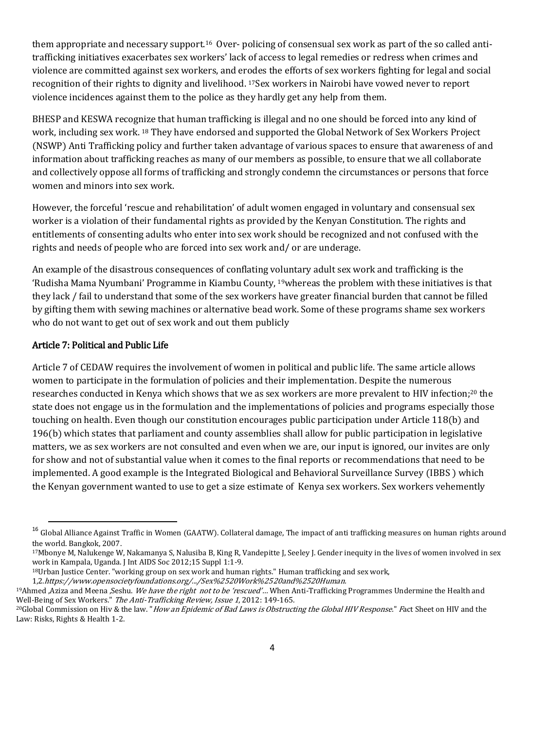them appropriate and necessary support.16 Over- policing of consensual sex work as part of the so called antitrafficking initiatives exacerbates sex workers' lack of access to legal remedies or redress when crimes and violence are committed against sex workers, and erodes the efforts of sex workers fighting for legal and social recognition of their rights to dignity and livelihood. 17Sex workers in Nairobi have vowed never to report violence incidences against them to the police as they hardly get any help from them.

BHESP and KESWA recognize that human trafficking is illegal and no one should be forced into any kind of work, including sex work. <sup>18</sup> They have endorsed and supported the Global Network of Sex Workers Project (NSWP) Anti Trafficking policy and further taken advantage of various spaces to ensure that awareness of and information about trafficking reaches as many of our members as possible, to ensure that we all collaborate and collectively oppose all forms of trafficking and strongly condemn the circumstances or persons that force women and minors into sex work.

However, the forceful 'rescue and rehabilitation' of adult women engaged in voluntary and consensual sex worker is a violation of their fundamental rights as provided by the Kenyan Constitution. The rights and entitlements of consenting adults who enter into sex work should be recognized and not confused with the rights and needs of people who are forced into sex work and/ or are underage.

An example of the disastrous consequences of conflating voluntary adult sex work and trafficking is the 'Rudisha Mama Nyumbani' Programme in Kiambu County, <sup>19</sup>whereas the problem with these initiatives is that they lack / fail to understand that some of the sex workers have greater financial burden that cannot be filled by gifting them with sewing machines or alternative bead work. Some of these programs shame sex workers who do not want to get out of sex work and out them publicly

### Article 7: Political and Public Life

 $\overline{\phantom{a}}$ 

Article 7 of CEDAW requires the involvement of women in political and public life. The same article allows women to participate in the formulation of policies and their implementation. Despite the numerous researches conducted in Kenya which shows that we as sex workers are more prevalent to HIV infection;<sup>20</sup> the state does not engage us in the formulation and the implementations of policies and programs especially those touching on health. Even though our constitution encourages public participation under Article 118(b) and 196(b) which states that parliament and county assemblies shall allow for public participation in legislative matters, we as sex workers are not consulted and even when we are, our input is ignored, our invites are only for show and not of substantial value when it comes to the final reports or recommendations that need to be implemented. A good example is the Integrated Biological and Behavioral Surveillance Survey (IBBS ) which the Kenyan government wanted to use to get a size estimate of Kenya sex workers. Sex workers vehemently

<sup>&</sup>lt;sup>16</sup> Global Alliance Against Traffic in Women (GAATW). Collateral damage, The impact of anti trafficking measures on human rights around the world. Bangkok, 2007.

<sup>17</sup>Mbonye M, Nalukenge W, Nakamanya S, Nalusiba B, King R, Vandepitte J, Seeley J. Gender inequity in the lives of women involved in sex work in Kampala, Uganda. J Int AIDS Soc 2012;15 Suppl 1:1-9.

<sup>18</sup>Urban Justice Center. "working group on sex work and human rights." Human trafficking and sex work,

<sup>1,2.</sup>https://www.opensocietyfoundations.org/.../Sex%2520Work%2520and%2520Human.

<sup>&</sup>lt;sup>19</sup>Ahmed ,Aziza and Meena ,Seshu. We have the right not to be 'rescued'... When Anti-Trafficking Programmes Undermine the Health and Well-Being of Sex Workers." The Anti-Trafficking Review, Issue 1, 2012: 149-165.

<sup>&</sup>lt;sup>20</sup>Global Commission on Hiv & the law. "How an Epidemic of Bad Laws is Obstructing the Global HIV Response." Fact Sheet on HIV and the Law: Risks, Rights & Health 1-2.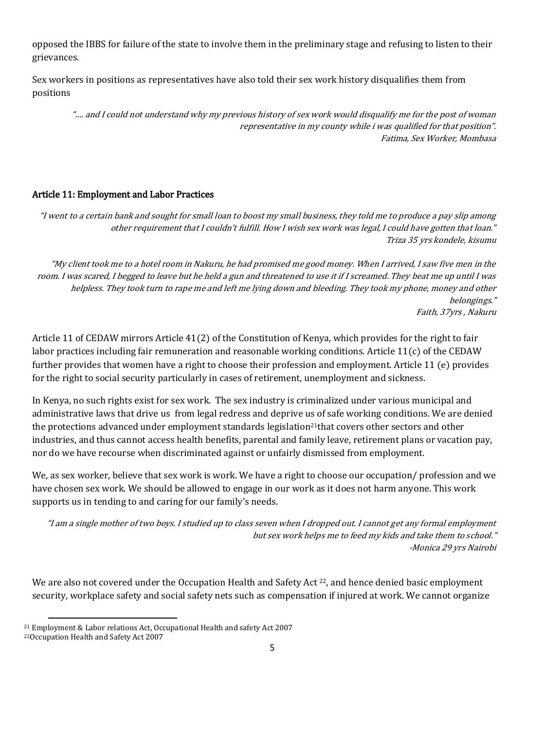opposed the IBBS for failure of the state to involve them in the preliminary stage and refusing to listen to their grievances.

Sex workers in positions as representatives have also told their sex work history disqualifies them from positions

"…. and I could not understand why my previous history of sex work would disqualify me for the post of woman representative in my county while i was qualified for that position". Fatima, Sex Worker, Mombasa

### Article 11: Employment and Labor Practices

"I went to a certain bank and sought for small loan to boost my small business, they told me to produce a pay slip among other requirement that I couldn't fulfill. How I wish sex work was legal, I could have gotten that loan." Triza 35 yrs kondele, kisumu

"My client took me to a hotel room in Nakuru, he had promised me good money. When I arrived, I saw five men in the room. I was scared, I begged to leave but he held a gun and threatened to use it if I screamed. They beat me up until I was helpless. They took turn to rape me and left me lying down and bleeding. They took my phone, money and other belongings." Faith, 37yrs , Nakuru

Article 11 of CEDAW mirrors Article 41(2) of the Constitution of Kenya, which provides for the right to fair labor practices including fair remuneration and reasonable working conditions. Article 11(c) of the CEDAW further provides that women have a right to choose their profession and employment. Article 11 (e) provides for the right to social security particularly in cases of retirement, unemployment and sickness.

In Kenya, no such rights exist for sex work. The sex industry is criminalized under various municipal and administrative laws that drive us from legal redress and deprive us of safe working conditions. We are denied the protections advanced under employment standards legislation<sup>21</sup>that covers other sectors and other industries, and thus cannot access health benefits, parental and family leave, retirement plans or vacation pay, nor do we have recourse when discriminated against or unfairly dismissed from employment.

We, as sex worker, believe that sex work is work. We have a right to choose our occupation/ profession and we have chosen sex work. We should be allowed to engage in our work as it does not harm anyone. This work supports us in tending to and caring for our family's needs.

"I am a single mother of two boys. I studied up to class seven when I dropped out. I cannot get any formal employment but sex work helps me to feed my kids and take them to school." -Monica 29 yrs Nairobi

We are also not covered under the Occupation Health and Safety Act <sup>22</sup>, and hence denied basic employment security, workplace safety and social safety nets such as compensation if injured at work. We cannot organize

 $\overline{\phantom{a}}$ <sup>21</sup> Employment & Labor relations Act, Occupational Health and safety Act 2007

<sup>22</sup>Occupation Health and Safety Act 2007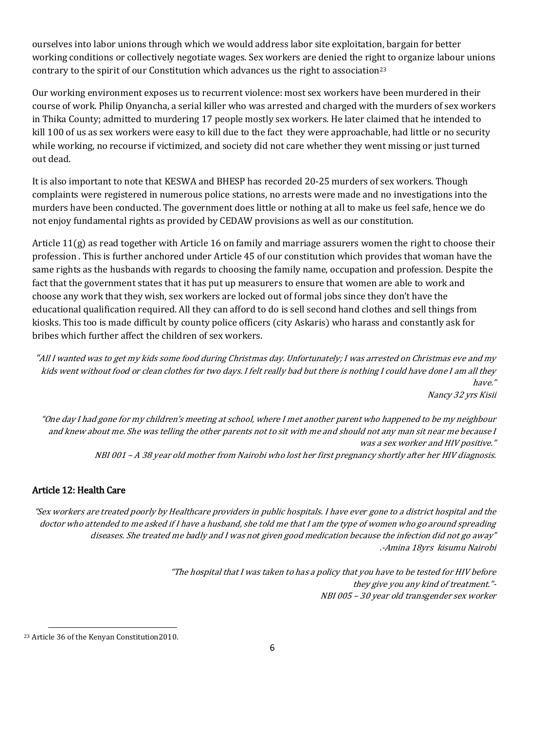ourselves into labor unions through which we would address labor site exploitation, bargain for better working conditions or collectively negotiate wages. Sex workers are denied the right to organize labour unions contrary to the spirit of our Constitution which advances us the right to association<sup>23</sup>

Our working environment exposes us to recurrent violence: most sex workers have been murdered in their course of work. Philip Onyancha, a serial killer who was arrested and charged with the murders of sex workers in Thika County; admitted to murdering 17 people mostly sex workers. He later claimed that he intended to kill 100 of us as sex workers were easy to kill due to the fact they were approachable, had little or no security while working, no recourse if victimized, and society did not care whether they went missing or just turned out dead.

It is also important to note that KESWA and BHESP has recorded 20-25 murders of sex workers. Though complaints were registered in numerous police stations, no arrests were made and no investigations into the murders have been conducted. The government does little or nothing at all to make us feel safe, hence we do not enjoy fundamental rights as provided by CEDAW provisions as well as our constitution.

Article 11(g) as read together with Article 16 on family and marriage assurers women the right to choose their profession . This is further anchored under Article 45 of our constitution which provides that woman have the same rights as the husbands with regards to choosing the family name, occupation and profession. Despite the fact that the government states that it has put up measurers to ensure that women are able to work and choose any work that they wish, sex workers are locked out of formal jobs since they don't have the educational qualification required. All they can afford to do is sell second hand clothes and sell things from kiosks. This too is made difficult by county police officers (city Askaris) who harass and constantly ask for bribes which further affect the children of sex workers.

"All I wanted was to get my kids some food during Christmas day. Unfortunately; I was arrested on Christmas eve and my kids went without food or clean clothes for two days. I felt really bad but there is nothing I could have done I am all they have." Nancy 32 yrs Kisii

"One day I had gone for my children's meeting at school, where I met another parent who happened to be my neighbour and knew about me. She was telling the other parents not to sit with me and should not any man sit near me because I was a sex worker and HIV positive." NBI 001 – A 38 year old mother from Nairobi who lost her first pregnancy shortly after her HIV diagnosis.

### Article 12: Health Care

"Sex workers are treated poorly by Healthcare providers in public hospitals. I have ever gone to a district hospital and the doctor who attended to me asked if I have a husband, she told me that I am the type of women who go around spreading diseases. She treated me badly and I was not given good medication because the infection did not go away" .-Amina 18yrs kisumu Nairobi

> "The hospital that I was taken to has a policy that you have to be tested for HIV before they give you any kind of treatment."- NBI 005 – 30 year old transgender sex worker

 $\overline{\phantom{a}}$ 

<sup>23</sup> Article 36 of the Kenyan Constitution2010.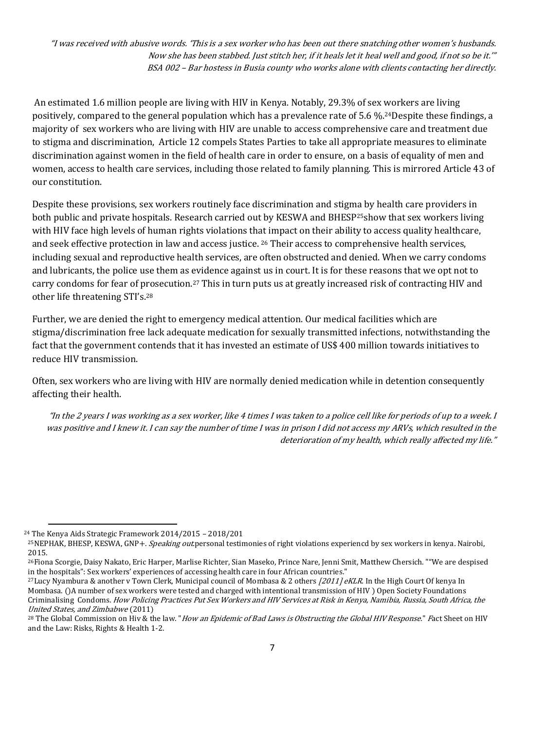"I was received with abusive words. 'This is a sex worker who has been out there snatching other women's husbands. Now she has been stabbed. Just stitch her, if it heals let it heal well and good, if not so be it.'" BSA 002 – Bar hostess in Busia county who works alone with clients contacting her directly.

An estimated 1.6 million people are living with HIV in Kenya. Notably, 29.3% of sex workers are living positively, compared to the general population which has a prevalence rate of 5.6 %.24Despite these findings, a majority of sex workers who are living with HIV are unable to access comprehensive care and treatment due to stigma and discrimination, Article 12 compels States Parties to take all appropriate measures to eliminate discrimination against women in the field of health care in order to ensure, on a basis of equality of men and women, access to health care services, including those related to family planning. This is mirrored Article 43 of our constitution.

Despite these provisions, sex workers routinely face discrimination and stigma by health care providers in both public and private hospitals. Research carried out by KESWA and BHESP25show that sex workers living with HIV face high levels of human rights violations that impact on their ability to access quality healthcare, and seek effective protection in law and access justice. <sup>26</sup> Their access to comprehensive health services, including sexual and reproductive health services, are often obstructed and denied. When we carry condoms and lubricants, the police use them as evidence against us in court. It is for these reasons that we opt not to carry condoms for fear of prosecution.<sup>27</sup> This in turn puts us at greatly increased risk of contracting HIV and other life threatening STI's.<sup>28</sup>

Further, we are denied the right to emergency medical attention. Our medical facilities which are stigma/discrimination free lack adequate medication for sexually transmitted infections, notwithstanding the fact that the government contends that it has invested an estimate of US\$ 400 million towards initiatives to reduce HIV transmission.

Often, sex workers who are living with HIV are normally denied medication while in detention consequently affecting their health.

"In the 2 years I was working as a sex worker, like 4 times I was taken to a police cell like for periods of up to a week. I was positive and I knew it. I can say the number of time I was in prison I did not access my ARVs, which resulted in the deterioration of my health, which really affected my life."

 $\overline{\phantom{a}}$ 

<sup>24</sup> The Kenya Aids Strategic Framework 2014/2015 – 2018/201

<sup>&</sup>lt;sup>25</sup>NEPHAK, BHESP, KESWA, GNP+. Speaking out personal testimonies of right violations experiencd by sex workers in kenya. Nairobi, 2015.

<sup>26</sup>Fiona Scorgie, Daisy Nakato, Eric Harper, Marlise Richter, Sian Maseko, Prince Nare, Jenni Smit, Matthew Chersich. ""We are despised in the hospitals": Sex workers' experiences of accessing health care in four African countries."

<sup>&</sup>lt;sup>27</sup>Lucy Nyambura & another v Town Clerk, Municipal council of Mombasa & 2 others  $/2011$  eKLR. In the High Court Of kenya In Mombasa. ()A number of sex workers were tested and charged with intentional transmission of HIV ) Open Society Foundations Criminalising Condoms. How Policing Practices Put Sex Workers and HIV Services at Risk in Kenya, Namibia, Russia, South Africa, the United States, and Zimbabwe (2011)

<sup>&</sup>lt;sup>28</sup> The Global Commission on Hiv & the law. "How an Epidemic of Bad Laws is Obstructing the Global HIV Response." Fact Sheet on HIV and the Law: Risks, Rights & Health 1-2.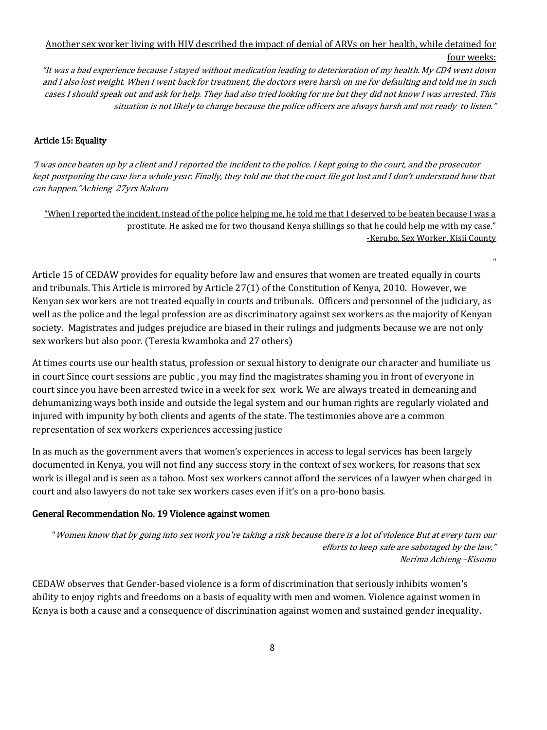# Another sex worker living with HIV described the impact of denial of ARVs on her health, while detained for four weeks:

"It was a bad experience because I stayed without medication leading to deterioration of my health. My CD4 went down and I also lost weight. When I went back for treatment, the doctors were harsh on me for defaulting and told me in such cases I should speak out and ask for help. They had also tried looking for me but they did not know I was arrested. This situation is not likely to change because the police officers are always harsh and not ready to listen."

#### Article 15: Equality

"I was once beaten up by a client and I reported the incident to the police. I kept going to the court, and the prosecutor kept postponing the case for a whole year. Finally, they told me that the court file got lost and I don't understand how that can happen."Achieng 27yrs Nakuru

"When I reported the incident, instead of the police helping me, he told me that I deserved to be beaten because I was a prostitute. He asked me for two thousand Kenya shillings so that he could help me with my case." -Kerubo, Sex Worker, Kisii County

 $\boldsymbol{a}$ 

Article 15 of CEDAW provides for equality before law and ensures that women are treated equally in courts and tribunals. This Article is mirrored by Article 27(1) of the Constitution of Kenya, 2010. However, we Kenyan sex workers are not treated equally in courts and tribunals. Officers and personnel of the judiciary, as well as the police and the legal profession are as discriminatory against sex workers as the majority of Kenyan society. Magistrates and judges prejudice are biased in their rulings and judgments because we are not only sex workers but also poor. (Teresia kwamboka and 27 others)

At times courts use our health status, profession or sexual history to denigrate our character and humiliate us in court Since court sessions are public , you may find the magistrates shaming you in front of everyone in court since you have been arrested twice in a week for sex work. We are always treated in demeaning and dehumanizing ways both inside and outside the legal system and our human rights are regularly violated and injured with impunity by both clients and agents of the state. The testimonies above are a common representation of sex workers experiences accessing justice

In as much as the government avers that women's experiences in access to legal services has been largely documented in Kenya, you will not find any success story in the context of sex workers, for reasons that sex work is illegal and is seen as a taboo. Most sex workers cannot afford the services of a lawyer when charged in court and also lawyers do not take sex workers cases even if it's on a pro-bono basis.

#### General Recommendation No. 19 Violence against women

"Women know that by going into sex work you're taking a risk because there is a lot of violence But at every turn our efforts to keep safe are sabotaged by the law." Nerima Achieng –Kisumu

CEDAW observes that Gender-based violence is a form of discrimination that seriously inhibits women's ability to enjoy rights and freedoms on a basis of equality with men and women. Violence against women in Kenya is both a cause and a consequence of discrimination against women and sustained gender inequality.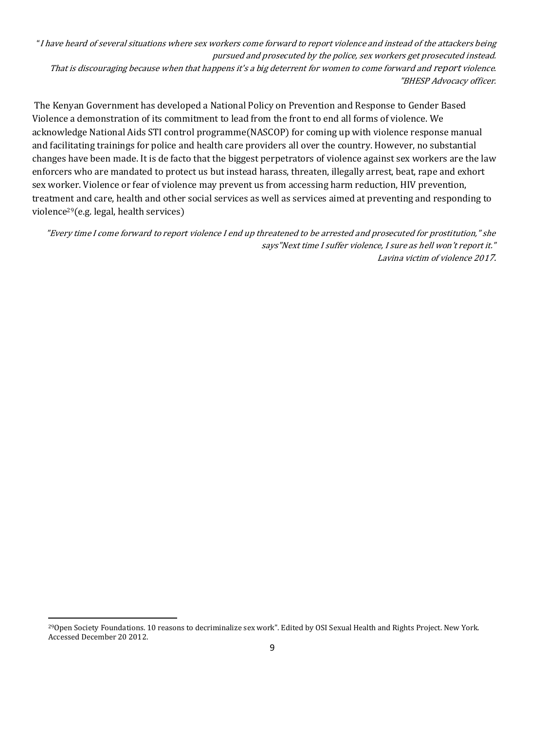"I have heard of several situations where sex workers come forward to report violence and instead of the attackers being pursued and prosecuted by the police, sex workers get prosecuted instead. That is discouraging because when that happens it's a big deterrent for women to come forward and report violence. "BHESP Advocacy officer.

The Kenyan Government has developed a National Policy on Prevention and Response to Gender Based Violence a demonstration of its commitment to lead from the front to end all forms of violence. We acknowledge National Aids STI control programme(NASCOP) for coming up with violence response manual and facilitating trainings for police and health care providers all over the country. However, no substantial changes have been made. It is de facto that the biggest perpetrators of violence against sex workers are the law enforcers who are mandated to protect us but instead harass, threaten, illegally arrest, beat, rape and exhort sex worker. Violence or fear of violence may prevent us from accessing harm reduction, HIV prevention, treatment and care, health and other social services as well as services aimed at preventing and responding to violence29(e.g. legal, health services)

"Every time I come forward to report violence I end up threatened to be arrested and prosecuted for prostitution," she says"Next time I suffer violence, I sure as hell won't report it." Lavina victim of violence 2017.

 $\overline{\phantom{a}}$ 

<sup>29</sup>Open Society Foundations. 10 reasons to decriminalize sex work". Edited by OSI Sexual Health and Rights Project. New York. Accessed December 20 2012.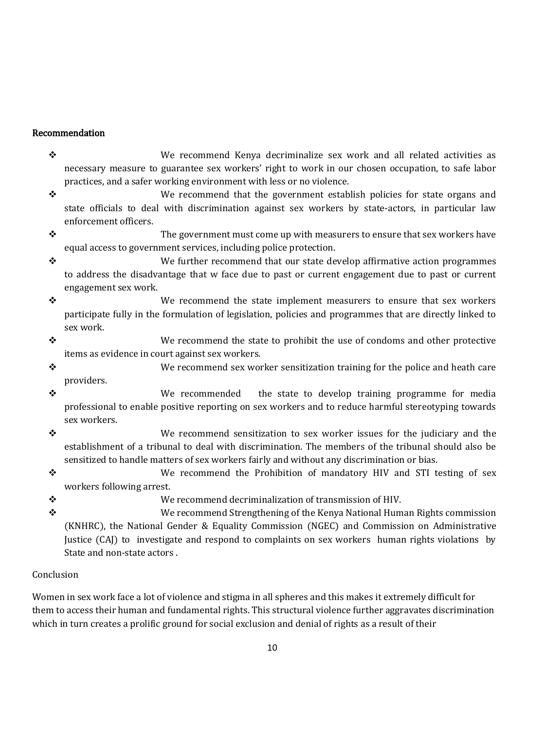## Recommendation

- $\clubsuit$  external We recommend Kenya decriminalize sex work and all related activities as necessary measure to guarantee sex workers' right to work in our chosen occupation, to safe labor practices, and a safer working environment with less or no violence.
- $\div$  We recommend that the government establish policies for state organs and state officials to deal with discrimination against sex workers by state-actors, in particular law enforcement officers.
- $\mathbf{\hat{y}}$  and the government must come up with measurers to ensure that sex workers have equal access to government services, including police protection.
- We further recommend that our state develop affirmative action programmes to address the disadvantage that w face due to past or current engagement due to past or current engagement sex work.
- $\clubsuit$  exactled we recommend the state implement measurers to ensure that sex workers participate fully in the formulation of legislation, policies and programmes that are directly linked to sex work.
- $\bullet$  We recommend the state to prohibit the use of condoms and other protective items as evidence in court against sex workers.
- $\bullet$  We recommend sex worker sensitization training for the police and heath care providers.
- We recommended the state to develop training programme for media professional to enable positive reporting on sex workers and to reduce harmful stereotyping towards sex workers.
- We recommend sensitization to sex worker issues for the judiciary and the establishment of a tribunal to deal with discrimination. The members of the tribunal should also be sensitized to handle matters of sex workers fairly and without any discrimination or bias.
- We recommend the Prohibition of mandatory HIV and STI testing of sex workers following arrest.
- We recommend decriminalization of transmission of HIV.
- We recommend Strengthening of the Kenya National Human Rights commission (KNHRC), the National Gender & Equality Commission (NGEC) and Commission on Administrative Justice (CAJ) to investigate and respond to complaints on sex workers human rights violations by State and non-state actors .

## Conclusion

Women in sex work face a lot of violence and stigma in all spheres and this makes it extremely difficult for them to access their human and fundamental rights. This structural violence further aggravates discrimination which in turn creates a prolific ground for social exclusion and denial of rights as a result of their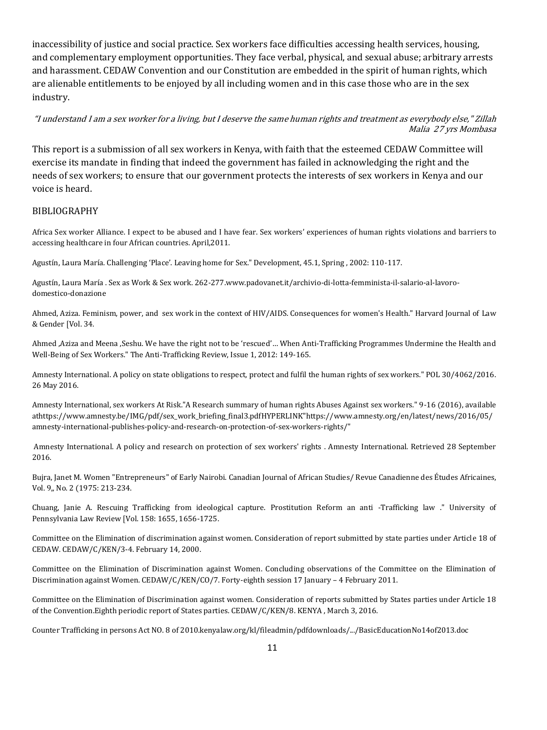inaccessibility of justice and social practice. Sex workers face difficulties accessing health services, housing, and complementary employment opportunities. They face verbal, physical, and sexual abuse; arbitrary arrests and harassment. CEDAW Convention and our Constitution are embedded in the spirit of human rights, which are alienable entitlements to be enjoyed by all including women and in this case those who are in the sex industry.

"I understand I am a sex worker for a living, but I deserve the same human rights and treatment as everybody else," Zillah Malia 27 yrs Mombasa

This report is a submission of all sex workers in Kenya, with faith that the esteemed CEDAW Committee will exercise its mandate in finding that indeed the government has failed in acknowledging the right and the needs of sex workers; to ensure that our government protects the interests of sex workers in Kenya and our voice is heard.

#### BIBLIOGRAPHY

Africa Sex worker Alliance. I expect to be abused and I have fear. Sex workers' experiences of human rights violations and barriers to accessing healthcare in four African countries. April,2011.

Agustín, Laura María. Challenging 'Place'. Leaving home for Sex." Development, 45.1, Spring , 2002: 110-117.

Agustín, Laura María . Sex as Work & Sex work. 262-277.www.padovanet.it/archivio-di-lotta-femminista-il-salario-al-lavorodomestico-donazione

Ahmed, Aziza. Feminism, power, and sex work in the context of HIV/AIDS. Consequences for women's Health." Harvard Journal of Law & Gender [Vol. 34.

Ahmed ,Aziza and Meena ,Seshu. We have the right not to be 'rescued'… When Anti-Trafficking Programmes Undermine the Health and Well-Being of Sex Workers." The Anti-Trafficking Review, Issue 1, 2012: 149-165.

Amnesty International. A policy on state obligations to respect, protect and fulfil the human rights of sex workers." POL 30/4062/2016. 26 May 2016.

Amnesty International, sex workers At Risk."A Research summary of human rights Abuses Against sex workers." 9-16 (2016), available a[thttps://www.amnesty.be/IMG/pdf/sex\\_work\\_briefing\\_final3.pdfHYPERLINK"https://www.amnesty.org/en/latest/news/2016/05/](https://www.amnesty.be/IMG/pdf/sex_work_briefing_final3.pdfHYPERLINK%22https:/www.amnesty.org/en/latest/news/2016/05/amnesty-international-publishes-policy-and-research-on-protection-of-sex-workers-rights/) [amnesty-international-publishes-policy-and-research-on-protection-of-sex-workers-rights/"](https://www.amnesty.be/IMG/pdf/sex_work_briefing_final3.pdfHYPERLINK%22https:/www.amnesty.org/en/latest/news/2016/05/amnesty-international-publishes-policy-and-research-on-protection-of-sex-workers-rights/)

Amnesty International. A policy and research on protection of sex workers' rights . Amnesty International. Retrieved 28 September 2016.

Bujra, Janet M. Women "Entrepreneurs" of Early Nairobi. Canadian Journal of African Studies/ Revue Canadienne des Études Africaines, Vol. 9,, No. 2 (1975: 213-234.

Chuang, Janie A. Rescuing Trafficking from ideological capture. Prostitution Reform an anti -Trafficking law ." University of Pennsylvania Law Review [Vol. 158: 1655, 1656-1725.

Committee on the Elimination of discrimination against women. Consideration of report submitted by state parties under Article 18 of CEDAW. CEDAW/C/KEN/3-4. February 14, 2000.

Committee on the Elimination of Discrimination against Women. Concluding observations of the Committee on the Elimination of Discrimination against Women. CEDAW/C/KEN/CO/7. Forty-eighth session 17 January – 4 February 2011.

Committee on the Elimination of Discrimination against women. Consideration of reports submitted by States parties under Article 18 of the Convention.Eighth periodic report of States parties. CEDAW/C/KEN/8. KENYA , March 3, 2016.

Counter Trafficking in persons Act NO. 8 of 2010.kenyalaw.org/kl/fileadmin/pdfdownloads/.../BasicEducationNo14of2013.doc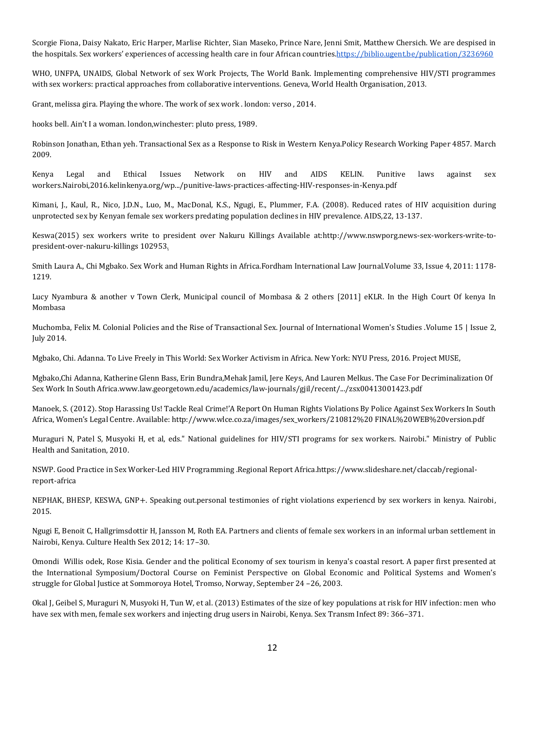Scorgie Fiona, Daisy Nakato, Eric Harper, Marlise Richter, Sian Maseko, Prince Nare, Jenni Smit, Matthew Chersich. We are despised in the hospitals. Sex workers' experiences of accessing health care in four African countrie[s.https://biblio.ugent.be/publication/3236960](https://biblio.ugent.be/publication/3236960)

WHO, UNFPA, UNAIDS, Global Network of sex Work Projects, The World Bank. Implementing comprehensive HIV/STI programmes with sex workers: practical approaches from collaborative interventions. Geneva, World Health Organisation, 2013.

Grant, melissa gira. Playing the whore. The work of sex work . london: verso , 2014.

hooks bell. Ain't I a woman. london,winchester: pluto press, 1989.

Robinson Jonathan, Ethan yeh. Transactional Sex as a Response to Risk in Western Kenya.Policy Research Working Paper 4857. March 2009.

Kenya Legal and Ethical Issues Network on HIV and AIDS KELIN. Punitive laws against sex workers.Nairobi,2016.kelinkenya.org/wp.../punitive-laws-practices-affecting-HIV-responses-in-Kenya.pdf

Kimani, J., Kaul, R., Nico, J.D.N., Luo, M., MacDonal, K.S., Ngugi, E., Plummer, F.A. (2008). Reduced rates of HIV acquisition during unprotected sex by Kenyan female sex workers predating population declines in HIV prevalence. AIDS,22, 13-137.

Keswa(2015) sex workers write to president over Nakuru Killings Available at[:http://www.nswporg.news-sex-workers-write-to](http://www.nswporg.news-sex-workers-write-to-president-over-nakuru-killings/)[president-over-nakuru-killings](http://www.nswporg.news-sex-workers-write-to-president-over-nakuru-killings/) 102953.

Smith Laura A., Chi Mgbako. Sex Work and Human Rights in Africa.Fordham International Law Journal.Volume 33, Issue 4, 2011: 1178- 1219.

Lucy Nyambura & another v Town Clerk, Municipal council of Mombasa & 2 others [2011] eKLR. In the High Court Of kenya In Mombasa

Muchomba, Felix M. Colonial Policies and the Rise of Transactional Sex. Journal of International Women's Studies .Volume 15 | Issue 2, July 2014.

Mgbako, Chi. Adanna. To Live Freely in This World: Sex Worker Activism in Africa. New York: NYU Press, 2016. Project MUSE,

Mgbako,Chi Adanna, Katherine Glenn Bass, Erin Bundra,Mehak Jamil, Jere Keys, And Lauren Melkus. The Case For Decriminalization Of Sex Work In South Africa.www.law.georgetown.edu/academics/law-journals/gjil/recent/.../zsx00413001423.pdf

Manoek, S. (2012). Stop Harassing Us! Tackle Real Crime!'A Report On Human Rights Violations By Police Against Sex Workers In South Africa, Women's Legal Centre. Available: http://www.wlce.co.za/images/sex\_workers/210812%20 FINAL%20WEB%20version.pdf

Muraguri N, Patel S, Musyoki H, et al, eds." National guidelines for HIV/STI programs for sex workers. Nairobi." Ministry of Public Health and Sanitation, 2010.

NSWP. Good Practice in Sex Worker-Led HIV Programming .Regional Report Africa.https://www.slideshare.net/claccab/regionalreport-africa

NEPHAK, BHESP, KESWA, GNP+. Speaking out.personal testimonies of right violations experiencd by sex workers in kenya. Nairobi, 2015.

Ngugi E, Benoit C, Hallgrimsdottir H, Jansson M, Roth EA. Partners and clients of female sex workers in an informal urban settlement in Nairobi, Kenya. Culture Health Sex 2012; 14: 17–30.

Omondi Willis odek, Rose Kisia. Gender and the political Economy of sex tourism in kenya's coastal resort. A paper first presented at the International Symposium/Doctoral Course on Feminist Perspective on Global Economic and Political Systems and Women's struggle for Global Justice at Sommoroya Hotel, Tromso, Norway, September 24 –26, 2003.

Okal J, Geibel S, Muraguri N, Musyoki H, Tun W, et al. (2013) Estimates of the size of key populations at risk for HIV infection: men who have sex with men, female sex workers and injecting drug users in Nairobi, Kenya. Sex Transm Infect 89: 366–371.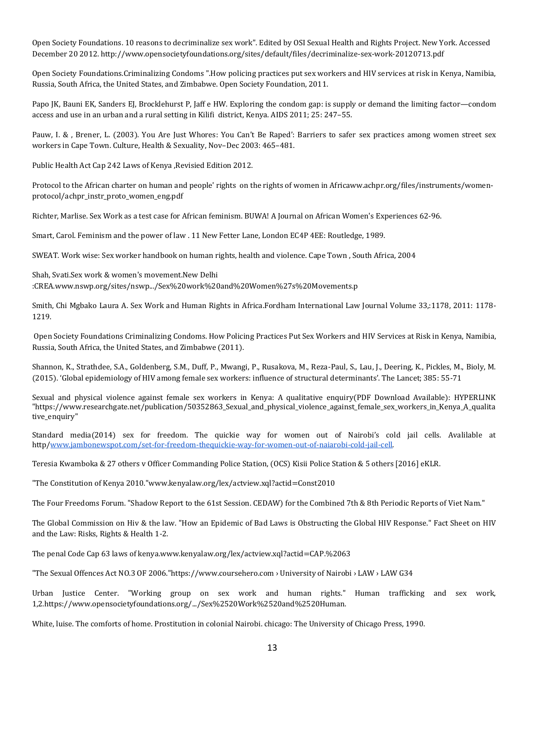Open Society Foundations. 10 reasons to decriminalize sex work". Edited by OSI Sexual Health and Rights Project. New York. Accessed December 20 2012. http://www.opensocietyfoundations.org/sites/default/files/decriminalize-sex-work-20120713.pdf

Open Society Foundations.Criminalizing Condoms ".How policing practices put sex workers and HIV services at risk in Kenya, Namibia, Russia, South Africa, the United States, and Zimbabwe. Open Society Foundation, 2011.

Papo JK, Bauni EK, Sanders EJ, Brocklehurst P, Jaff e HW. Exploring the condom gap: is supply or demand the limiting factor—condom access and use in an urban and a rural setting in Kilifi district, Kenya. AIDS 2011; 25: 247–55.

Pauw, I. & , Brener, L. (2003). You Are Just Whores: You Can't Be Raped': Barriers to safer sex practices among women street sex workers in Cape Town. Culture, Health & Sexuality, Nov–Dec 2003: 465–481.

Public Health Act Cap 242 Laws of Kenya ,Revisied Edition 2012.

Protocol to the African charter on human and people' rights on the rights of women in Africaww.achpr.org/files/instruments/womenprotocol/achpr\_instr\_proto\_women\_eng.pdf

Richter, Marlise. Sex Work as a test case for African feminism. BUWA! A Journal on African Women's Experiences 62-96.

Smart, Carol. Feminism and the power of law . 11 New Fetter Lane, London EC4P 4EE: Routledge, 1989.

SWEAT. Work wise: Sex worker handbook on human rights, health and violence. Cape Town , South Africa, 2004

Shah, Svati.Sex work & women's movement.New Delhi :CREA.www.nswp.org/sites/nswp.../Sex%20work%20and%20Women%27s%20Movements.p

Smith, Chi Mgbako Laura A. Sex Work and Human Rights in Africa.Fordham International Law Journal Volume 33,:1178, 2011: 1178- 1219.

Open Society Foundations Criminalizing Condoms. How Policing Practices Put Sex Workers and HIV Services at Risk in Kenya, Namibia, Russia, South Africa, the United States, and Zimbabwe (2011).

Shannon, K., Strathdee, S.A., Goldenberg, S.M., Duff, P., Mwangi, P., Rusakova, M., Reza-Paul, S., Lau, J., Deering, K., Pickles, M., Bioly, M. (2015). 'Global epidemiology of HIV among female sex workers: influence of structural determinants'. The Lancet; 385: 55-71

Sexual and physical violence against female sex workers in Kenya: A qualitative enquiry(PDF Download Available): HYPERLINK "https://www.researchgate.net/publication/50352863\_Sexual\_and\_physical\_violence\_against\_female\_sex\_workers\_in\_Kenya\_A\_qualita tive\_enquiry"

Standard media(2014) sex for freedom. The quickie way for women out of Nairobi's cold jail cells. Avalilable at http[/www.jambonewspot.com/set-for-freedom-thequickie-way-for-women-out-of-naiarobi-cold-jail-cell.](http://www.jambonewspot.com/set-for-freedom-thequickie-way-for-women-out-of-naiarobi-cold-jail-cell)

Teresia Kwamboka & 27 others v Officer Commanding Police Station, (OCS) Kisii Police Station & 5 others [2016] eKLR.

"The Constitution of Kenya 2010."www.kenyalaw.org/lex/actview.xql?actid=Const2010

The Four Freedoms Forum. "Shadow Report to the 61st Session. CEDAW) for the Combined 7th & 8th Periodic Reports of Viet Nam."

The Global Commission on Hiv & the law. "How an Epidemic of Bad Laws is Obstructing the Global HIV Response." Fact Sheet on HIV and the Law: Risks, Rights & Health 1-2.

The penal Code Cap 63 laws of kenya.www.kenyalaw.org/lex/actview.xql?actid=CAP.%2063

"The Sexual Offences Act NO.3 OF 2006."https://www.coursehero.com › University of Nairobi › LAW › LAW G34

Urban Justice Center. "Working group on sex work and human rights." Human trafficking and sex work, 1,2.https://www.opensocietyfoundations.org/.../Sex%2520Work%2520and%2520Human.

White, luise. The comforts of home. Prostitution in colonial Nairobi. chicago: The University of Chicago Press, 1990.